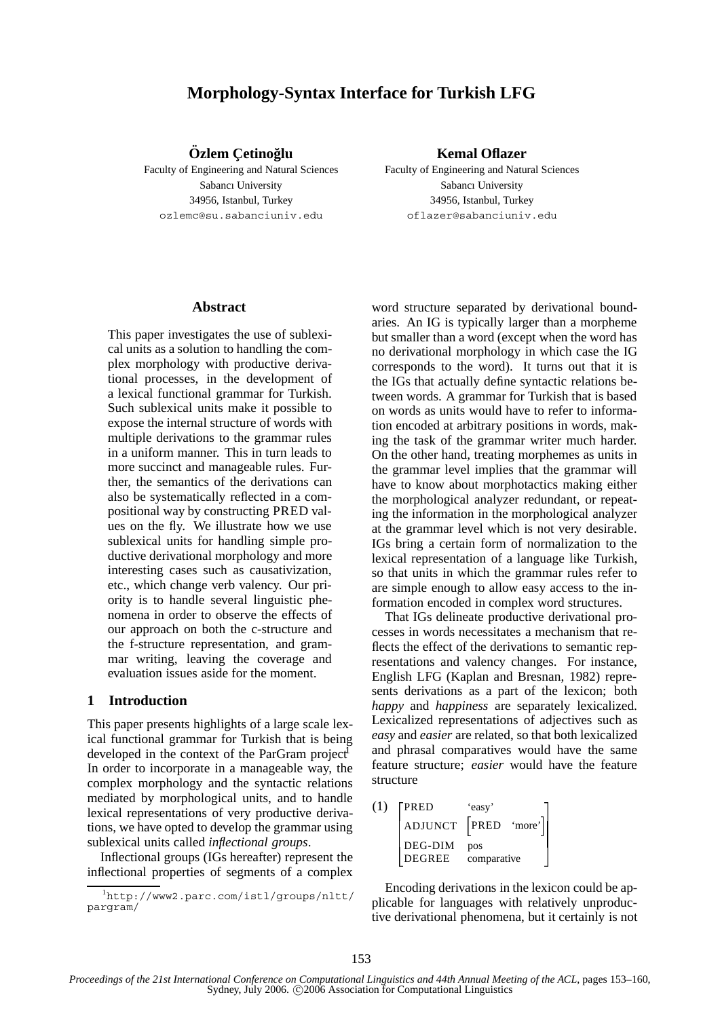# **Morphology-Syntax Interface for Turkish LFG**

### $Özlem Cetinoğlu$

Faculty of Engineering and Natural Sciences Sabancı University 34956, Istanbul, Turkey ozlemc@su.sabanciuniv.edu

#### **Kemal Oflazer**

Faculty of Engineering and Natural Sciences Sabancı University 34956, Istanbul, Turkey oflazer@sabanciuniv.edu

#### **Abstract**

This paper investigates the use of sublexical units as a solution to handling the complex morphology with productive derivational processes, in the development of a lexical functional grammar for Turkish. Such sublexical units make it possible to expose the internal structure of words with multiple derivations to the grammar rules in a uniform manner. This in turn leads to more succinct and manageable rules. Further, the semantics of the derivations can also be systematically reflected in a compositional way by constructing PRED values on the fly. We illustrate how we use sublexical units for handling simple productive derivational morphology and more interesting cases such as causativization, etc., which change verb valency. Our priority is to handle several linguistic phenomena in order to observe the effects of our approach on both the c-structure and the f-structure representation, and grammar writing, leaving the coverage and evaluation issues aside for the moment.

### **1 Introduction**

This paper presents highlights of a large scale lexical functional grammar for Turkish that is being developed in the context of the ParGram project<sup>1</sup> In order to incorporate in a manageable way, the complex morphology and the syntactic relations mediated by morphological units, and to handle lexical representations of very productive derivations, we have opted to develop the grammar using sublexical units called *inflectional groups*.

Inflectional groups (IGs hereafter) represent the inflectional properties of segments of a complex

word structure separated by derivational boundaries. An IG is typically larger than a morpheme but smaller than a word (except when the word has no derivational morphology in which case the IG corresponds to the word). It turns out that it is the IGs that actually define syntactic relations between words. A grammar for Turkish that is based on words as units would have to refer to information encoded at arbitrary positions in words, making the task of the grammar writer much harder. On the other hand, treating morphemes as units in the grammar level implies that the grammar will have to know about morphotactics making either the morphological analyzer redundant, or repeating the information in the morphological analyzer at the grammar level which is not very desirable. IGs bring a certain form of normalization to the lexical representation of a language like Turkish, so that units in which the grammar rules refer to are simple enough to allow easy access to the information encoded in complex word structures.

That IGs delineate productive derivational processes in words necessitates a mechanism that reflects the effect of the derivations to semantic representations and valency changes. For instance, English LFG (Kaplan and Bresnan, 1982) represents derivations as a part of the lexicon; both *happy* and *happiness* are separately lexicalized. Lexicalized representations of adjectives such as *easy* and *easier* are related, so that both lexicalized and phrasal comparatives would have the same feature structure; *easier* would have the feature structure

(1) PRED 'easy' ADJUNCT PRED DEG-DIM pos PRED 'more' DEGREE comparative the contract of the contract of the contract of the contract of the contract of the contract of the contract of the contract of the contract of the contract of the contract of the contract of the contract of the contract of the contract of the contract of the contract of the contract of the contract of the contract of the contract of the contract of the contract of the contract of the contract of the contract of the contract of the contract of

Encoding derivations in the lexicon could be applicable for languages with relatively unproductive derivational phenomena, but it certainly is not

<sup>1</sup> http://www2.parc.com/istl/groups/nltt/ pargram/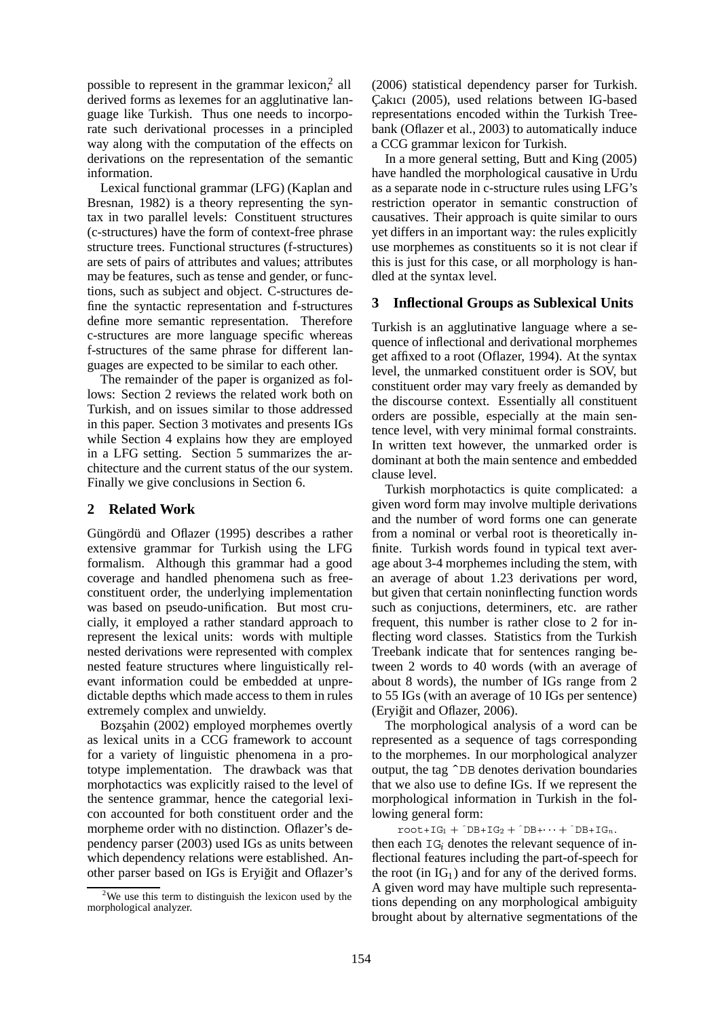possible to represent in the grammar lexicon.<sup>2</sup> all derived forms as lexemes for an agglutinative language like Turkish. Thus one needs to incorporate such derivational processes in a principled way along with the computation of the effects on derivations on the representation of the semantic information.

Lexical functional grammar (LFG) (Kaplan and Bresnan, 1982) is a theory representing the syntax in two parallel levels: Constituent structures (c-structures) have the form of context-free phrase structure trees. Functional structures (f-structures) are sets of pairs of attributes and values; attributes may be features, such as tense and gender, or functions, such as subject and object. C-structures define the syntactic representation and f-structures define more semantic representation. Therefore c-structures are more language specific whereas f-structures of the same phrase for different languages are expected to be similar to each other.

The remainder of the paper is organized as follows: Section 2 reviews the related work both on Turkish, and on issues similar to those addressed in this paper. Section 3 motivates and presents IGs while Section 4 explains how they are employed in a LFG setting. Section 5 summarizes the architecture and the current status of the our system. Finally we give conclusions in Section 6.

## **2 Related Work**

Güngördü and Oflazer (1995) describes a rather extensive grammar for Turkish using the LFG formalism. Although this grammar had a good coverage and handled phenomena such as freeconstituent order, the underlying implementation was based on pseudo-unification. But most crucially, it employed a rather standard approach to represent the lexical units: words with multiple nested derivations were represented with complex nested feature structures where linguistically relevant information could be embedded at unpredictable depths which made access to them in rules extremely complex and unwieldy.

Bozsahin (2002) employed morphemes overtly as lexical units in a CCG framework to account for a variety of linguistic phenomena in a prototype implementation. The drawback was that morphotactics was explicitly raised to the level of the sentence grammar, hence the categorial lexicon accounted for both constituent order and the morpheme order with no distinction. Oflazer's dependency parser (2003) used IGs as units between which dependency relations were established. Another parser based on IGs is Eryiğit and Oflazer's (2006) statistical dependency parser for Turkish. Cakıcı (2005), used relations between IG-based representations encoded within the Turkish Treebank (Oflazer et al., 2003) to automatically induce a CCG grammar lexicon for Turkish.

In a more general setting, Butt and King (2005) have handled the morphological causative in Urdu as a separate node in c-structure rules using LFG's restriction operator in semantic construction of causatives. Their approach is quite similar to ours yet differs in an important way: the rules explicitly use morphemes as constituents so it is not clear if this is just for this case, or all morphology is handled at the syntax level.

## **3 Inflectional Groups as Sublexical Units**

Turkish is an agglutinative language where a sequence of inflectional and derivational morphemes get affixed to a root (Oflazer, 1994). At the syntax level, the unmarked constituent order is SOV, but constituent order may vary freely as demanded by the discourse context. Essentially all constituent orders are possible, especially at the main sentence level, with very minimal formal constraints. In written text however, the unmarked order is dominant at both the main sentence and embedded clause level.

Turkish morphotactics is quite complicated: a given word form may involve multiple derivations and the number of word forms one can generate from a nominal or verbal root is theoretically infinite. Turkish words found in typical text average about 3-4 morphemes including the stem, with an average of about 1.23 derivations per word, but given that certain noninflecting function words such as conjuctions, determiners, etc. are rather frequent, this number is rather close to 2 for inflecting word classes. Statistics from the Turkish Treebank indicate that for sentences ranging between 2 words to 40 words (with an average of about 8 words), the number of IGs range from 2 to 55 IGs (with an average of 10 IGs per sentence) (Eryiğit and Oflazer, 2006).

The morphological analysis of a word can be represented as a sequence of tags corresponding to the morphemes. In our morphological analyzer output, the tag ˆDB denotes derivation boundaries that we also use to define IGs. If we represent the morphological information in Turkish in the following general form:

 $root+IG_1 + ^DBF+IG_2 + ^DBF + \cdots + ^DBF+IG_n$ . then each  $IG_i$  denotes the relevant sequence of inflectional features including the part-of-speech for the root (in  $IG_1$ ) and for any of the derived forms. A given word may have multiple such representations depending on any morphological ambiguity brought about by alternative segmentations of the

<sup>&</sup>lt;sup>2</sup>We use this term to distinguish the lexicon used by the morphological analyzer.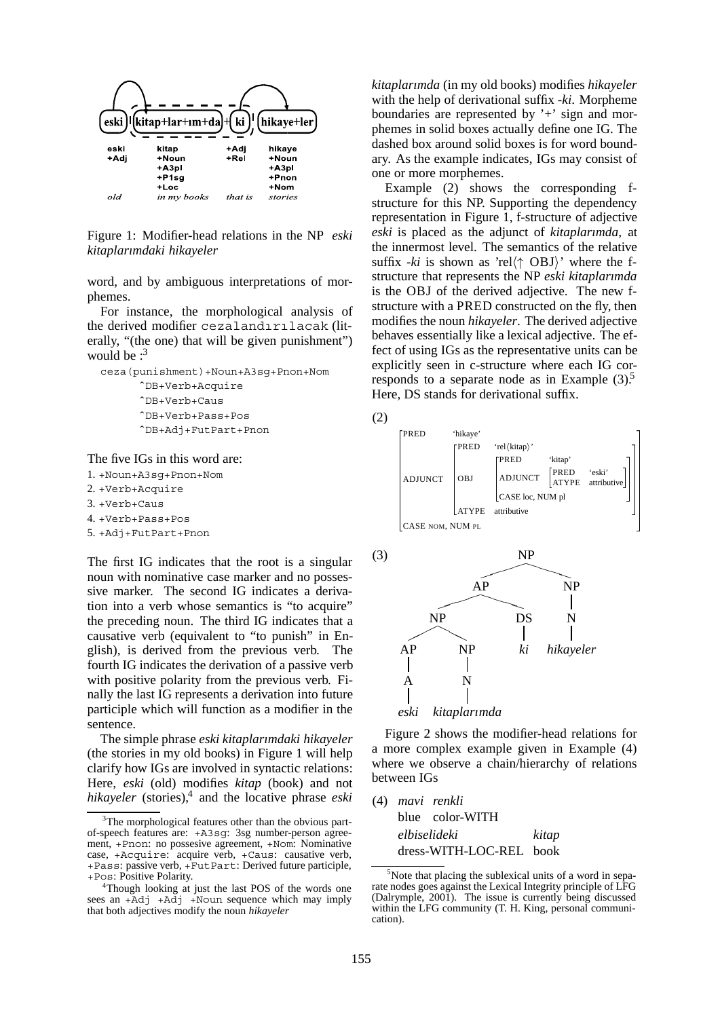

Figure 1: Modifier-head relations in the NP *eski kitaplarımdaki hikayeler*

word, and by ambiguous interpretations of morphemes.

For instance, the morphological analysis of the derived modifier cezalandırılacak (literally, "(the one) that will be given punishment") would be  $:3$ 

```
ceza(punishment)+Noun+A3sg+Pnon+Nom
      ˆDB+Verb+Acquire
      ˆDB+Verb+Caus
      ˆDB+Verb+Pass+Pos
      ˆDB+Adj+FutPart+Pnon
```
The five IGs in this word are:

1. +Noun+A3sg+Pnon+Nom 2. +Verb+Acquire 3. +Verb+Caus 4. +Verb+Pass+Pos 5. +Adj+FutPart+Pnon

The first IG indicates that the root is a singular noun with nominative case marker and no possessive marker. The second IG indicates a derivation into a verb whose semantics is "to acquire" the preceding noun. The third IG indicates that a causative verb (equivalent to "to punish" in English), is derived from the previous verb. The fourth IG indicates the derivation of a passive verb with positive polarity from the previous verb. Finally the last IG represents a derivation into future participle which will function as a modifier in the sentence.

The simple phrase *eski kitaplarımdaki hikayeler* (the stories in my old books) in Figure 1 will help clarify how IGs are involved in syntactic relations: Here, *eski* (old) modifies *kitap* (book) and not *hikayeler* (stories),<sup>4</sup> and the locative phrase *eski* 

*kitaplarımda* (in my old books) modifies *hikayeler* with the help of derivational suffix *-ki*. Morpheme boundaries are represented by '+' sign and morphemes in solid boxes actually define one IG. The dashed box around solid boxes is for word boundary. As the example indicates, IGs may consist of one or more morphemes.

Example (2) shows the corresponding fstructure for this NP. Supporting the dependency representation in Figure 1, f-structure of adjective *eski* is placed as the adjunct of *kitaplarımda*, at the innermost level. The semantics of the relative suffix *-ki* is shown as 'rel $\langle \uparrow$  OBJ $\rangle$ ' where the fstructure that represents the NP *eski kitaplarımda* is the OBJ of the derived adjective. The new fstructure with a PRED constructed on the fly, then modifies the noun *hikayeler*. The derived adjective behaves essentially like a lexical adjective. The effect of using IGs as the representative units can be explicitly seen in c-structure where each IG corresponds to a separate node as in Example  $(3)$ <sup>5</sup> Here, DS stands for derivational suffix.





Figure 2 shows the modifier-head relations for a more complex example given in Example (4) where we observe a chain/hierarchy of relations between IGs

(4) *mavi renkli*

|  | blue color-WITH         |       |
|--|-------------------------|-------|
|  | elbiselideki            | kitap |
|  | dress-WITH-LOC-REL book |       |

<sup>5</sup> Note that placing the sublexical units of a word in separate nodes goes against the Lexical Integrity principle of LFG (Dalrymple, 2001). The issue is currently being discussed within the LFG community (T. H. King, personal communication).

<sup>&</sup>lt;sup>3</sup>The morphological features other than the obvious partof-speech features are: +A3sg: 3sg number-person agreement, +Pnon: no possesive agreement, +Nom: Nominative case, +Acquire: acquire verb, +Caus: causative verb, +Pass: passive verb, +FutPart: Derived future participle, +Pos: Positive Polarity.

<sup>&</sup>lt;sup>4</sup>Though looking at just the last POS of the words one sees an  $+Ad\dot{d}$  +A $\ddot{d}$  +Noun sequence which may imply that both adjectives modify the noun *hikayeler*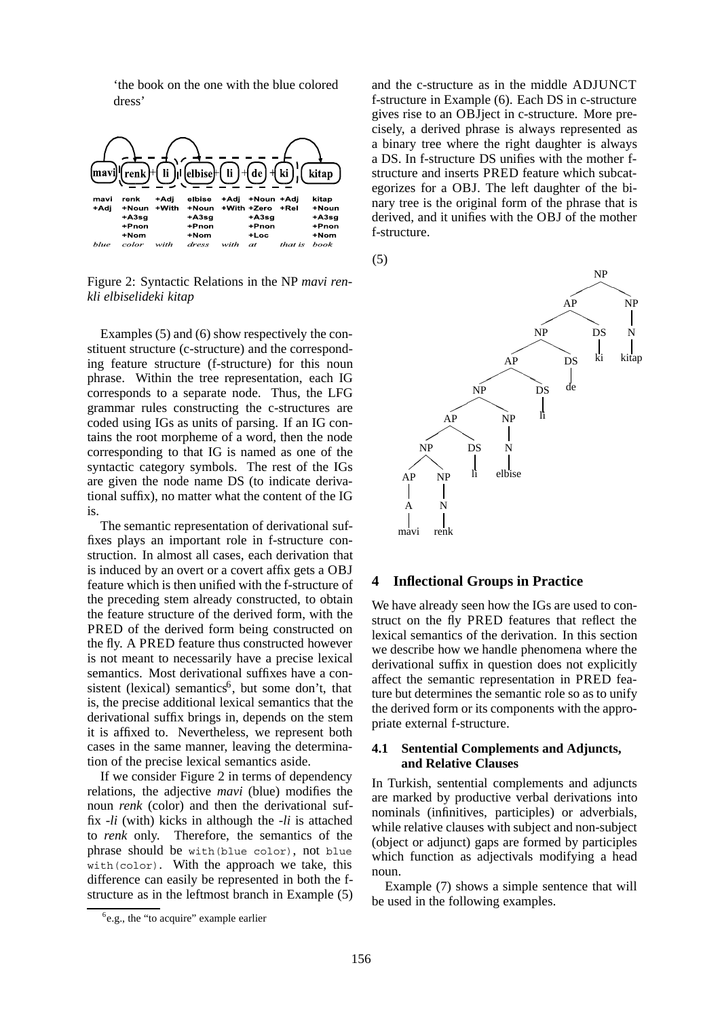'the book on the one with the blue colored dress'



Figure 2: Syntactic Relations in the NP *mavi renkli elbiselideki kitap*

Examples (5) and (6) show respectively the constituent structure (c-structure) and the corresponding feature structure (f-structure) for this noun phrase. Within the tree representation, each IG corresponds to a separate node. Thus, the LFG grammar rules constructing the c-structures are coded using IGs as units of parsing. If an IG contains the root morpheme of a word, then the node corresponding to that IG is named as one of the syntactic category symbols. The rest of the IGs are given the node name DS (to indicate derivational suffix), no matter what the content of the IG is.

The semantic representation of derivational suffixes plays an important role in f-structure construction. In almost all cases, each derivation that is induced by an overt or a covert affix gets a OBJ feature which is then unified with the f-structure of the preceding stem already constructed, to obtain the feature structure of the derived form, with the PRED of the derived form being constructed on the fly. A PRED feature thus constructed however is not meant to necessarily have a precise lexical semantics. Most derivational suffixes have a consistent (lexical) semantics<sup>6</sup>, but some don't, that is, the precise additional lexical semantics that the derivational suffix brings in, depends on the stem it is affixed to. Nevertheless, we represent both cases in the same manner, leaving the determination of the precise lexical semantics aside.

If we consider Figure 2 in terms of dependency relations, the adjective *mavi* (blue) modifies the noun *renk* (color) and then the derivational suffix *-li* (with) kicks in although the *-li* is attached to *renk* only. Therefore, the semantics of the phrase should be with(blue color), not blue with(color). With the approach we take, this difference can easily be represented in both the fstructure as in the leftmost branch in Example (5)

and the c-structure as in the middle ADJUNCT f-structure in Example (6). Each DS in c-structure gives rise to an OBJject in c-structure. More precisely, a derived phrase is always represented as a binary tree where the right daughter is always a DS. In f-structure DS unifies with the mother fstructure and inserts PRED feature which subcategorizes for a OBJ. The left daughter of the binary tree is the original form of the phrase that is derived, and it unifies with the OBJ of the mother f-structure.





#### **4 Inflectional Groups in Practice**

We have already seen how the IGs are used to construct on the fly PRED features that reflect the lexical semantics of the derivation. In this section we describe how we handle phenomena where the derivational suffix in question does not explicitly affect the semantic representation in PRED feature but determines the semantic role so as to unify the derived form or its components with the appropriate external f-structure.

#### **4.1 Sentential Complements and Adjuncts, and Relative Clauses**

In Turkish, sentential complements and adjuncts are marked by productive verbal derivations into nominals (infinitives, participles) or adverbials, while relative clauses with subject and non-subject (object or adjunct) gaps are formed by participles which function as adjectivals modifying a head noun.

Example (7) shows a simple sentence that will be used in the following examples.

<sup>&</sup>lt;sup>6</sup>e.g., the "to acquire" example earlier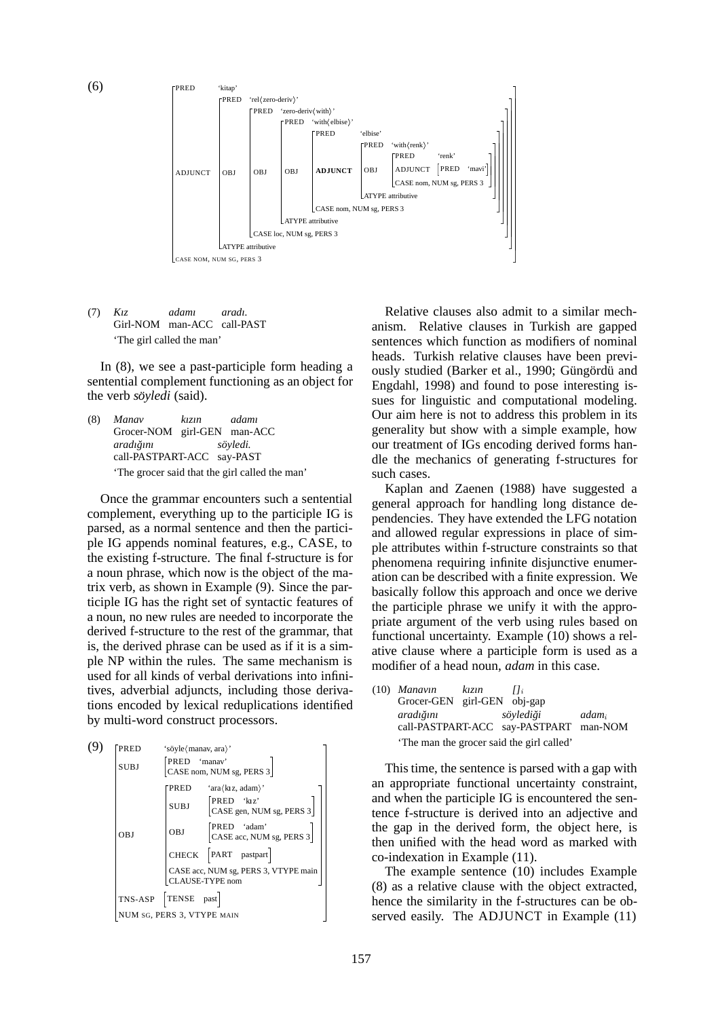

(7) *Kız* Girl-NOM man-ACC *adamı aradı.* call-PAST 'The girl called the man'

In (8), we see a past-participle form heading a sentential complement functioning as an object for the verb *soyledi* (said).

(8) *Manav* Grocer-NOM girl-GEN man-ACC *kızın adamı aradı˘gını* call-PASTPART-ACC say-PAST *s¨oyledi.* 'The grocer said that the girl called the man'

Once the grammar encounters such a sentential complement, everything up to the participle IG is parsed, as a normal sentence and then the participle IG appends nominal features, e.g., CASE, to the existing f-structure. The final f-structure is for a noun phrase, which now is the object of the matrix verb, as shown in Example (9). Since the participle IG has the right set of syntactic features of a noun, no new rules are needed to incorporate the derived f-structure to the rest of the grammar, that is, the derived phrase can be used as if it is a simple NP within the rules. The same mechanism is used for all kinds of verbal derivations into infinitives, adverbial adjuncts, including those derivations encoded by lexical reduplications identified by multi-word construct processors.

| PRED                       | 'söyle (manav, ara)' |                                                         |        |
|----------------------------|----------------------|---------------------------------------------------------|--------|
| <b>SUBJ</b>                | PRED                 | manay'<br>CASE nom, NUM sg, PERS 3                      |        |
|                            | <b>TPRED</b>         | 'ara $\langle$ kız, adam $\rangle$ '                    | a      |
|                            | <b>SUBJ</b>          | PRED 'kız'<br>CASE gen, NUM sg, PERS 3                  | a<br>t |
| OBJ                        | OBJ                  | PRED 'adam'<br>CASE acc, NUM sg, PERS 3                 |        |
|                            | <b>CHECK</b>         | PART pastpart                                           | с      |
|                            |                      | CASE acc, NUM sg, PERS 3, VTYPE main<br>CLAUSE-TYPE nom |        |
|                            |                      |                                                         |        |
| TNS-ASP                    | <b>TENSE</b>         | past                                                    |        |
| NUM SG, PERS 3, VTYPE MAIN |                      |                                                         |        |

Relative clauses also admit to a similar mechanism. Relative clauses in Turkish are gapped sentences which function as modifiers of nominal heads. Turkish relative clauses have been previously studied (Barker et al., 1990; Güngördü and Engdahl, 1998) and found to pose interesting issues for linguistic and computational modeling. Our aim here is not to address this problem in its generality but show with a simple example, how our treatment of IGs encoding derived forms handle the mechanics of generating f-structures for such cases.

Kaplan and Zaenen (1988) have suggested a general approach for handling long distance dependencies. They have extended the LFG notation and allowed regular expressions in place of simple attributes within f-structure constraints so that phenomena requiring infinite disjunctive enumeration can be described with a finite expression. We basically follow this approach and once we derive the participle phrase we unify it with the appropriate argument of the verb using rules based on functional uncertainty. Example (10) shows a relative clause where a participle form is used as a modifier of a head noun, *adam* in this case.

and the contract of the contract of the contract of the contract of the contract of the contract of the contract of the contract of the contract of the contract of the contract of the contract of the contract of the contra (10) *Manavın* Grocer-GEN girl-GEN obj-gap *kızın [] aradı˘gını* call-PASTPART-ACC say-PASTPART man-NOM *s¨oyledi˘gi adam* 'The man the grocer said the girl called'

and the contract of the contract of the contract of the contract of the contract of the contract of the contract of the contract of the contract of the contract of the contract of the contract of the contract of the contra and the contract of the contract of the contract of the contract of the contract of the contract of the contract of the contract of the contract of the contract of the contract of the contract of the contract of the contra and the contract of the contract of the contract of the contract of the contract of the contract of the contract of the contract of the contract of the contract of the contract of the contract of the contract of the contra an appropriate functional uncertainty constraint, and the contract of the contract of the contract of the contract of the contract of the contract of the contract of the contract of the contract of the contract of the contract of the contract of the contract of the contra and when the participle IG is encountered the senand the contract of the contract of the contract of the contract of the contract of the contract of the contract of the contract of the contract of the contract of the contract of the contract of the contract of the contra tence f-structure is derived into an adjective and and the contract of the contract of the contract of the contract of the contract of the contract of the contract of the contract of the contract of the contract of the contract of the contract of the contract of the contra the gap in the derived form, the object here, is and the contract of the contract of the contract of the contract of the contract of the contract of the contract of the contract of the contract of the contract of the contract of the contract of the contract of the contra then unified with the head word as marked with co-indexation in Example (11). This time, the sentence is parsed with a gap with

and the contract of the contract of the contract of the contract of the contract of the contract of the contract of the contract of the contract of the contract of the contract of the contract of the contract of the contra and the contract of the contract of the contract of the contract of the contract of the contract of the contract of the contract of the contract of the contract of the contract of the contract of the contract of the contra and the contract of the contract of the contract of the contract of the contract of the contract of the contract of the contract of the contract of the contract of the contract of the contract of the contract of the contra (8) as a relative clause with the object extracted, hence the similarity in the f-structures can be obthe contract of the contract of the contract of the contract of the contract of the contract of the contract of The example sentence (10) includes Example served easily. The ADJUNCT in Example (11)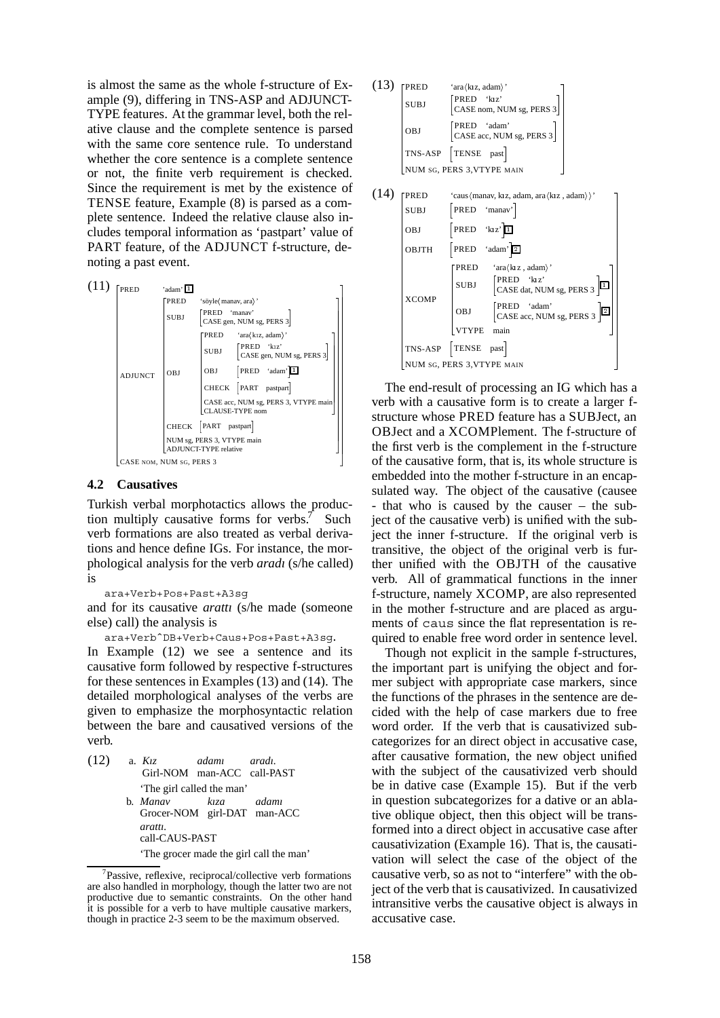is almost the same as the whole f-structure of Example (9), differing in TNS-ASP and ADJUNCT-TYPE features. At the grammar level, both the relative clause and the complete sentence is parsed with the same core sentence rule. To understand whether the core sentence is a complete sentence or not, the finite verb requirement is checked. Since the requirement is met by the existence of TENSE feature, Example (8) is parsed as a complete sentence. Indeed the relative clause also includes temporal information as 'pastpart' value of PART feature, of the ADJUNCT f-structure, denoting a past event.



#### **4.2 Causatives**

Turkish verbal morphotactics allows the production multiply causative forms for verbs.<sup>7</sup> Such verb formations are also treated as verbal derivations and hence define IGs. For instance, the morphological analysis for the verb *aradı* (s/he called) is

```
ara+Verb+Pos+Past+A3sg
```
and for its causative *arattı* (s/he made (someone else) call) the analysis is

ara+VerbˆDB+Verb+Caus+Pos+Past+A3sg.

In Example (12) we see a sentence and its causative form followed by respective f-structures for these sentences in Examples (13) and (14). The detailed morphological analyses of the verbs are given to emphasize the morphosyntactic relation between the bare and causatived versions of the verb.

```
(12) a. Kız
           Girl-NOM
man-ACC
                      adamı
                                 aradı.
                                call-PAST
           'The girl called the man'
       b. Manav
           Grocer-NOM
girl-DAT
man-ACC
                        kıza
                                  adamı
          arattı.
          call-CAUS-PAST
          'The grocer made the girl call the man'
```

| (13 | PRED                       | 'ara $\langle$ kız, adam $\rangle$ '                                                                         |  |  |  |
|-----|----------------------------|--------------------------------------------------------------------------------------------------------------|--|--|--|
|     | <b>SUBJ</b>                | PRED 'kız'<br>CASE nom, NUM sg, PERS 3                                                                       |  |  |  |
|     | OBJ                        | $\begin{bmatrix} \text{PRED} & \text{'adam'} \\ \text{CASE acc}, \text{NUM sg}, \text{PERS 3} \end{bmatrix}$ |  |  |  |
|     | TNS-ASP                    | TENSE past                                                                                                   |  |  |  |
|     | NUM SG, PERS 3, VTYPE MAIN |                                                                                                              |  |  |  |
|     |                            |                                                                                                              |  |  |  |

|  | <b>FRED</b>                | 'caus $\langle$ manav, kız, adam, ara $\langle$ kız, adam $\rangle$ )'                                                                                                                                                                                                                                              |  |  |
|--|----------------------------|---------------------------------------------------------------------------------------------------------------------------------------------------------------------------------------------------------------------------------------------------------------------------------------------------------------------|--|--|
|  | <b>SUBJ</b>                | PRED 'manav'                                                                                                                                                                                                                                                                                                        |  |  |
|  | OBJ                        | PRED 'kız' 1                                                                                                                                                                                                                                                                                                        |  |  |
|  | OBJTH                      | PRED 'adam' 2                                                                                                                                                                                                                                                                                                       |  |  |
|  | <b>XCOMP</b>               | 'ara $\langle$ kız, adam $\rangle$ '<br>TPRED<br>$\begin{bmatrix} PRED & 'kiz' \\ CASE \text{ dat, NUM sg, PERS 3} \end{bmatrix}$<br>${\bf S} {\bf U} {\bf B} {\bf J}$<br>PRED 'adam'<br>$\left[\begin{array}{cc} \text{RDE} & \text{audill} \\ \text{CASE} & \text{acc, NUM sg, PERS 3} \end{array}\right]$<br>OBJ |  |  |
|  |                            | <b>VTYPE</b><br>main                                                                                                                                                                                                                                                                                                |  |  |
|  | ${\rm TNS\text{-}ASP}$     | TENSE past                                                                                                                                                                                                                                                                                                          |  |  |
|  | NUM SG, PERS 3, VTYPE MAIN |                                                                                                                                                                                                                                                                                                                     |  |  |

 $\Vert v \Vert$  verb with a causative form is to create a larger f- structure whose PRED feature has a SUBJect, an **ICORPLACE IN A INCOMPLEMENT IS EXAMPLEMENT CORPLEMENT CORPORE IS A SET OF STATE OF STATE IS SET OF STATE IS A SET OF STATE IS A SET OF STATE IS A SET OF STATE IS A SET OF STATE IS A SET OF STATE IS A SET OF STATE IS A SET**  $\left| \right|$  the first verb is the complement in the f-structure of the causative form, that is, its whole structure is The end-result of processing an IG which has a embedded into the mother f-structure in an encapsulated way. The object of the causative (causee - that who is caused by the causer – the subject of the causative verb) is unified with the subject the inner f-structure. If the original verb is transitive, the object of the original verb is further unified with the OBJTH of the causative verb. All of grammatical functions in the inner f-structure, namely XCOMP, are also represented in the mother f-structure and are placed as arguments of caus since the flat representation is required to enable free word order in sentence level.

Though not explicit in the sample f-structures, the important part is unifying the object and former subject with appropriate case markers, since the functions of the phrases in the sentence are decided with the help of case markers due to free word order. If the verb that is causativized subcategorizes for an direct object in accusative case, after causative formation, the new object unified with the subject of the causativized verb should be in dative case (Example 15). But if the verb in question subcategorizes for a dative or an ablative oblique object, then this object will be transformed into a direct object in accusative case after causativization (Example 16). That is, the causativation will select the case of the object of the causative verb, so as not to "interfere" with the object of the verb that is causativized. In causativized intransitive verbs the causative object is always in accusative case.

<sup>7</sup> Passive, reflexive, reciprocal/collective verb formations are also handled in morphology, though the latter two are not productive due to semantic constraints. On the other hand it is possible for a verb to have multiple causative markers, though in practice 2-3 seem to be the maximum observed.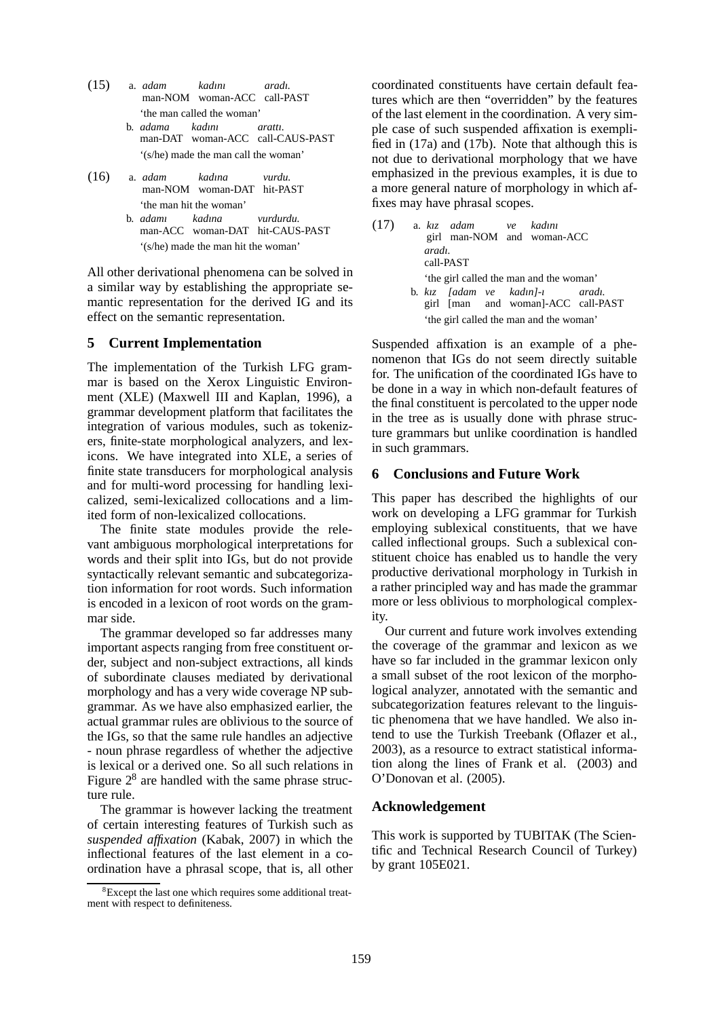- (15) a. *adam* man-NOM woman-ACC call-PAST *kadını aradı.* 'the man called the woman'
	- b. *adama* man-DAT woman-ACC call-CAUS-PAST *kadını arattı.* '(s/he) made the man call the woman'
- (16) a. *adam* man-NOM woman-DAT hit-PAST *kadına vurdu.* 'the man hit the woman'
	- b. *adamı* man-ACC woman-DAT hit-CAUS-PAST *kadına vurdurdu.* '(s/he) made the man hit the woman'

All other derivational phenomena can be solved in a similar way by establishing the appropriate semantic representation for the derived IG and its effect on the semantic representation.

### **5 Current Implementation**

The implementation of the Turkish LFG grammar is based on the Xerox Linguistic Environment (XLE) (Maxwell III and Kaplan, 1996), a grammar development platform that facilitates the integration of various modules, such as tokenizers, finite-state morphological analyzers, and lexicons. We have integrated into XLE, a series of finite state transducers for morphological analysis and for multi-word processing for handling lexicalized, semi-lexicalized collocations and a limited form of non-lexicalized collocations.

The finite state modules provide the relevant ambiguous morphological interpretations for words and their split into IGs, but do not provide syntactically relevant semantic and subcategorization information for root words. Such information is encoded in a lexicon of root words on the grammar side.

The grammar developed so far addresses many important aspects ranging from free constituent order, subject and non-subject extractions, all kinds of subordinate clauses mediated by derivational morphology and has a very wide coverage NP subgrammar. As we have also emphasized earlier, the actual grammar rules are oblivious to the source of the IGs, so that the same rule handles an adjective - noun phrase regardless of whether the adjective is lexical or a derived one. So all such relations in Figure  $2^8$  are handled with the same phrase structure rule.

The grammar is however lacking the treatment of certain interesting features of Turkish such as *suspended affixation* (Kabak, 2007) in which the inflectional features of the last element in a coordination have a phrasal scope, that is, all other

coordinated constituents have certain default features which are then "overridden" by the features of the last element in the coordination. A very simple case of such suspended affixation is exemplified in (17a) and (17b). Note that although this is not due to derivational morphology that we have emphasized in the previous examples, it is due to a more general nature of morphology in which affixes may have phrasal scopes.

(17) a. *kız adam* girl man-NOM and woman-ACC *ve kadını aradı.* call-PAST 'the girl called the man and the woman' b. *kız [adam ve* girl [man and woman]-ACC call-PAST *kadın]-ı aradı.* 'the girl called the man and the woman'

Suspended affixation is an example of a phenomenon that IGs do not seem directly suitable for. The unification of the coordinated IGs have to be done in a way in which non-default features of the final constituent is percolated to the upper node in the tree as is usually done with phrase structure grammars but unlike coordination is handled in such grammars.

## **6 Conclusions and Future Work**

This paper has described the highlights of our work on developing a LFG grammar for Turkish employing sublexical constituents, that we have called inflectional groups. Such a sublexical constituent choice has enabled us to handle the very productive derivational morphology in Turkish in a rather principled way and has made the grammar more or less oblivious to morphological complexity.

Our current and future work involves extending the coverage of the grammar and lexicon as we have so far included in the grammar lexicon only a small subset of the root lexicon of the morphological analyzer, annotated with the semantic and subcategorization features relevant to the linguistic phenomena that we have handled. We also intend to use the Turkish Treebank (Oflazer et al., 2003), as a resource to extract statistical information along the lines of Frank et al. (2003) and O'Donovan et al. (2005).

## **Acknowledgement**

This work is supported by TUBITAK (The Scientific and Technical Research Council of Turkey) by grant 105E021.

<sup>&</sup>lt;sup>8</sup> Except the last one which requires some additional treatment with respect to definiteness.